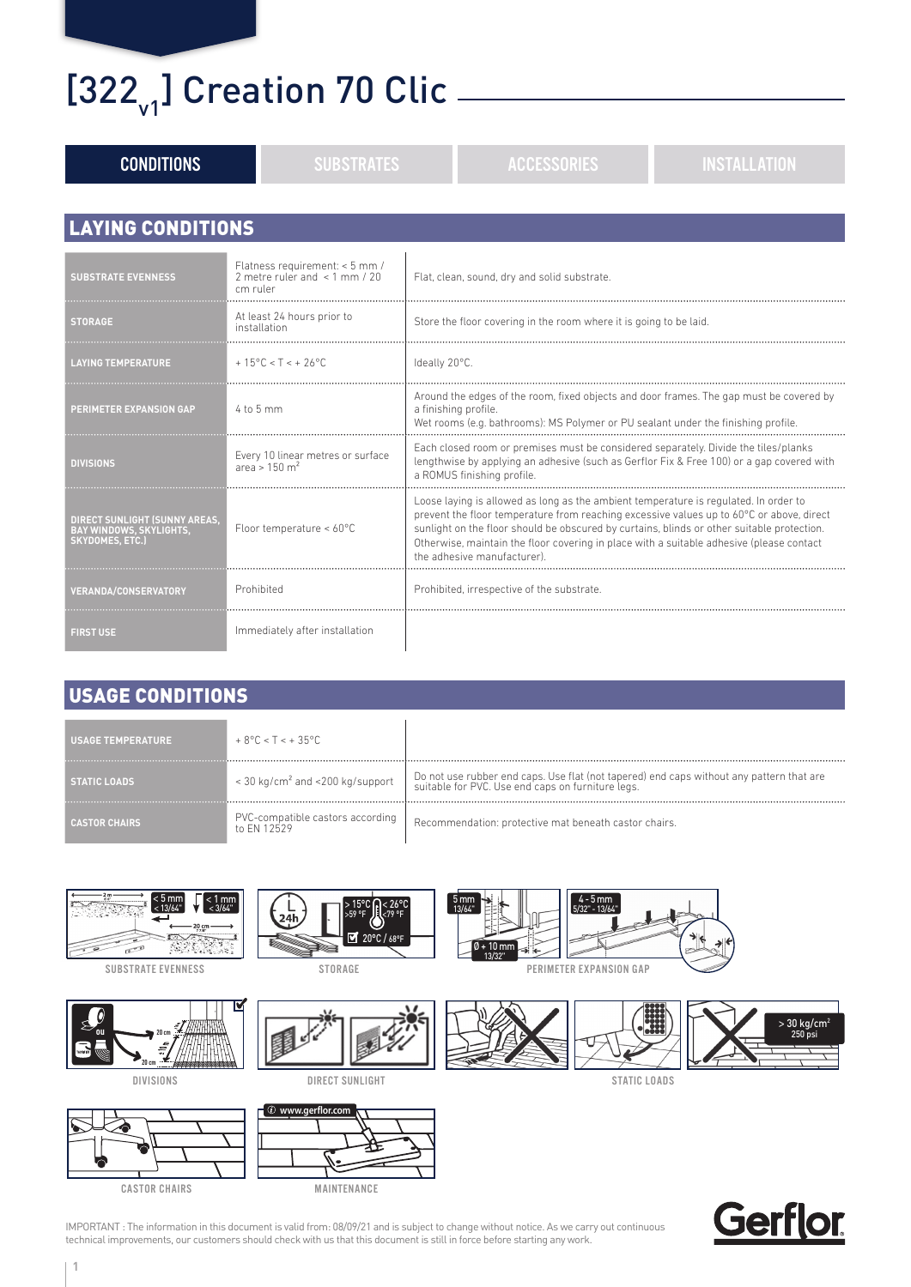### $[322_{v1}]$  Creation 70 Clic  $\frac{1}{2}$

| <b>CONDITIONS</b>                                                                                | <b>SUBSTRATES</b>                                                                | <b>ACCESSORIES</b><br><b>INSTALLATION</b>                                                                                                                                                                                                                                                                                                                                                                |  |  |  |  |  |
|--------------------------------------------------------------------------------------------------|----------------------------------------------------------------------------------|----------------------------------------------------------------------------------------------------------------------------------------------------------------------------------------------------------------------------------------------------------------------------------------------------------------------------------------------------------------------------------------------------------|--|--|--|--|--|
|                                                                                                  |                                                                                  |                                                                                                                                                                                                                                                                                                                                                                                                          |  |  |  |  |  |
| <b>LAYING CONDITIONS</b>                                                                         |                                                                                  |                                                                                                                                                                                                                                                                                                                                                                                                          |  |  |  |  |  |
| <b>SUBSTRATE EVENNESS</b>                                                                        | Flatness requirement: < 5 mm /<br>2 metre ruler and $\leq$ 1 mm / 20<br>cm ruler | Flat, clean, sound, dry and solid substrate.                                                                                                                                                                                                                                                                                                                                                             |  |  |  |  |  |
| <b>STORAGE</b>                                                                                   | At least 24 hours prior to<br>installation                                       | Store the floor covering in the room where it is going to be laid.                                                                                                                                                                                                                                                                                                                                       |  |  |  |  |  |
| <b>LAYING TEMPERATURE</b>                                                                        | $+15^{\circ}$ C < T < $+26^{\circ}$ C                                            | Ideally 20°C.                                                                                                                                                                                                                                                                                                                                                                                            |  |  |  |  |  |
| PERIMETER EXPANSION GAP                                                                          | 4 to 5 mm                                                                        | Around the edges of the room, fixed objects and door frames. The gap must be covered by<br>a finishing profile.<br>Wet rooms (e.g. bathrooms): MS Polymer or PU sealant under the finishing profile.                                                                                                                                                                                                     |  |  |  |  |  |
| <b>DIVISIONS</b>                                                                                 | Every 10 linear metres or surface<br>area > $150 \text{ m}^2$                    | Each closed room or premises must be considered separately. Divide the tiles/planks<br>lengthwise by applying an adhesive (such as Gerflor Fix & Free 100) or a gap covered with<br>a ROMUS finishing profile.                                                                                                                                                                                           |  |  |  |  |  |
| <b>DIRECT SUNLIGHT (SUNNY AREAS.</b><br><b>BAY WINDOWS, SKYLIGHTS,</b><br><b>SKYDOMES, ETC.)</b> | Floor temperature < 60°C                                                         | Loose laying is allowed as long as the ambient temperature is regulated. In order to<br>prevent the floor temperature from reaching excessive values up to 60°C or above, direct<br>sunlight on the floor should be obscured by curtains, blinds or other suitable protection.<br>Otherwise, maintain the floor covering in place with a suitable adhesive (please contact<br>the adhesive manufacturer) |  |  |  |  |  |
| <b>VERANDA/CONSERVATORY</b>                                                                      | Prohibited                                                                       | Prohibited, irrespective of the substrate.                                                                                                                                                                                                                                                                                                                                                               |  |  |  |  |  |
| <b>FIRST USE</b>                                                                                 | Immediately after installation                                                   |                                                                                                                                                                                                                                                                                                                                                                                                          |  |  |  |  |  |

### USAGE CONDITIONS

| <b>USAGE TEMPERATURE</b> | $+8^{\circ}$ C < T < + 35 $^{\circ}$ C          |                                                                                                                                                 |
|--------------------------|-------------------------------------------------|-------------------------------------------------------------------------------------------------------------------------------------------------|
| <b>STATIC LOADS</b>      | < 30 kg/cm <sup>2</sup> and <200 kg/support     | 1 Do not use rubber end caps. Use flat (not tapered) end caps without any pattern that are<br>suitable for PVC. Use end caps on furniture legs. |
| <b>CASTOR CHAIRS</b>     | PVC-compatible castors according<br>to FN 12529 | Recommendation: protective mat beneath castor chairs.                                                                                           |





IMPORTANT : The information in this document is valid from: 08/09/21 and is subject to change without notice. As we carry out continuous technical improvements, our customers should check with us that this document is still in force before starting any work.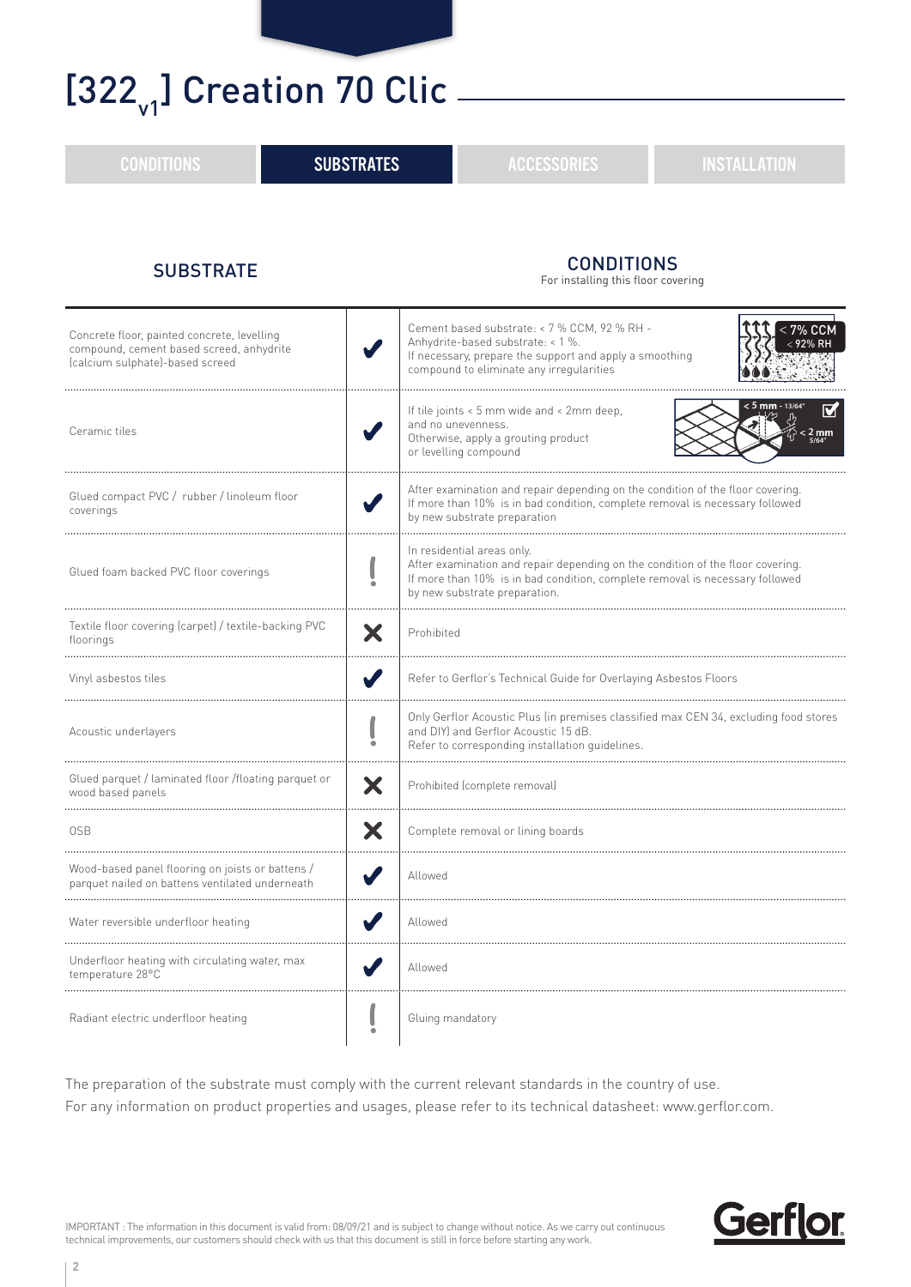### $[322_{v1}]$  Creation 70 Clic -

CONDITIONS **SUBSTRATES External SUBSTRATES External ACCESSORIES External ACCESSORIES** 

#### SUBSTRATE CONDITIONS

For installing this floor covering

| Concrete floor, painted concrete, levelling<br>compound, cement based screed, anhydrite<br>(calcium sulphate)-based screed |   | Cement based substrate: < 7 % CCM, 92 % RH -<br><b>7% CCM</b><br>Anhydrite-based substrate: < 1 %.<br>If necessary, prepare the support and apply a smoothing<br>compound to eliminate any irregularities                     |  |
|----------------------------------------------------------------------------------------------------------------------------|---|-------------------------------------------------------------------------------------------------------------------------------------------------------------------------------------------------------------------------------|--|
| Ceramic tiles                                                                                                              |   | <mark>&lt; 5 mm -</mark> 13/64<br>If tile joints < 5 mm wide and < 2mm deep,<br>and no unevenness.<br>$< 2 \text{ mm}$<br>$\frac{5}{64}$<br>Otherwise, apply a grouting product<br>or levelling compound                      |  |
| Glued compact PVC / rubber / linoleum floor<br>coverings                                                                   |   | After examination and repair depending on the condition of the floor covering.<br>If more than 10% is in bad condition, complete removal is necessary followed<br>by new substrate preparation                                |  |
| Glued foam backed PVC floor coverings                                                                                      |   | In residential areas only.<br>After examination and repair depending on the condition of the floor covering.<br>If more than 10% is in bad condition, complete removal is necessary followed<br>by new substrate preparation. |  |
| Textile floor covering (carpet) / textile-backing PVC<br>floorings                                                         |   | Prohibited                                                                                                                                                                                                                    |  |
| Vinyl asbestos tiles                                                                                                       |   | Refer to Gerflor's Technical Guide for Overlaying Asbestos Floors                                                                                                                                                             |  |
| Acoustic underlayers                                                                                                       |   | Only Gerflor Acoustic Plus (in premises classified max CEN 34, excluding food stores<br>and DIY) and Gerflor Acoustic 15 dB.<br>Refer to corresponding installation quidelines.                                               |  |
| Glued parquet / laminated floor /floating parquet or<br>wood based panels                                                  | X | Prohibited (complete removal)                                                                                                                                                                                                 |  |
| 0SB                                                                                                                        |   | Complete removal or lining boards                                                                                                                                                                                             |  |
| Wood-based panel flooring on joists or battens /<br>parquet nailed on battens ventilated underneath                        |   | Allowed                                                                                                                                                                                                                       |  |
| Water reversible underfloor heating                                                                                        |   | Allowed                                                                                                                                                                                                                       |  |
| Underfloor heating with circulating water, max<br>temperature 28°C                                                         |   | Allowed                                                                                                                                                                                                                       |  |
| Radiant electric underfloor heating                                                                                        |   | Gluing mandatory                                                                                                                                                                                                              |  |

The preparation of the substrate must comply with the current relevant standards in the country of use. For any information on product properties and usages, please refer to its technical datasheet: www.gerflor.com.

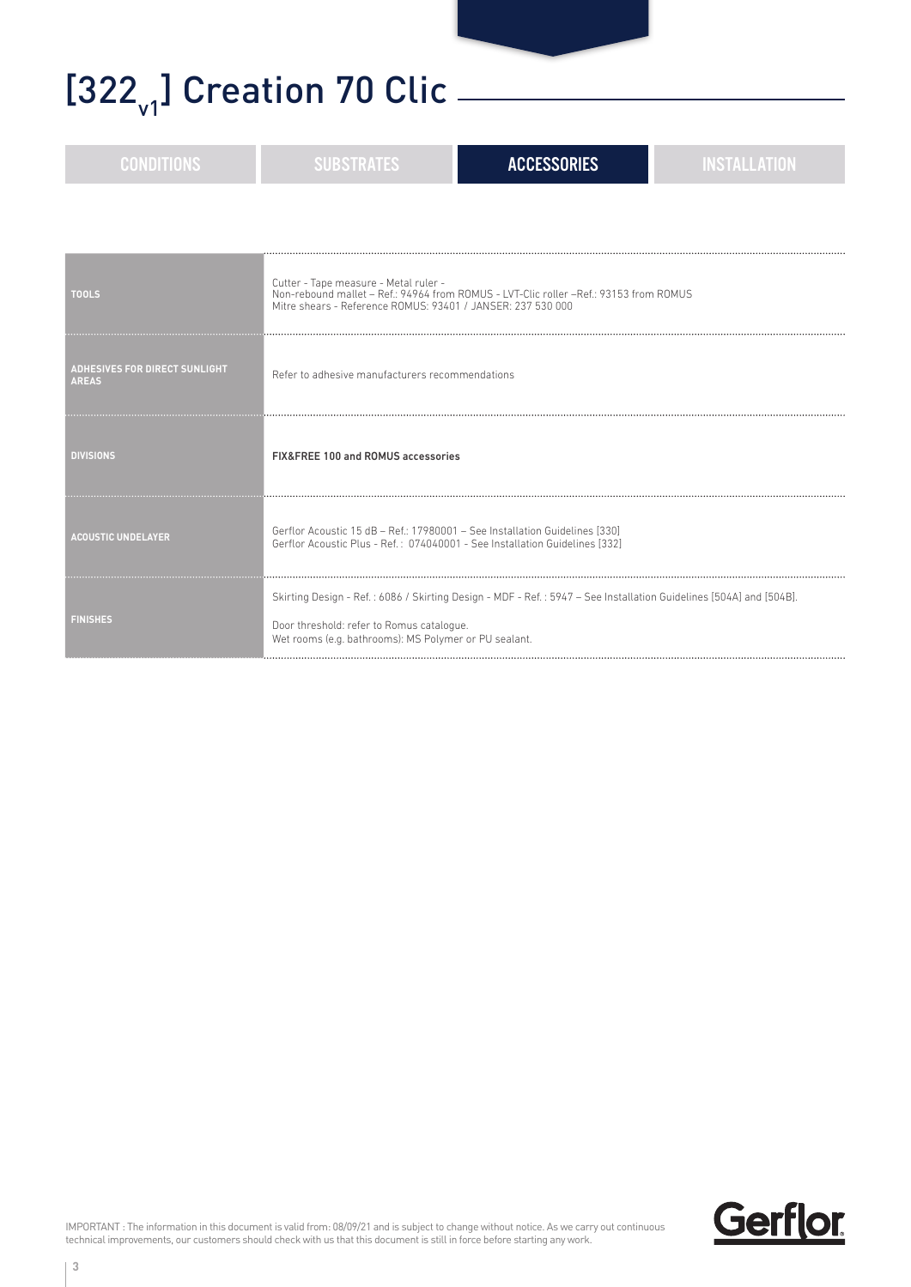### $[322_{v1}]$  Creation 70 Clic  $\frac{1}{2}$

| <b>CONDITIONS</b>                                    | <b>ACCESSORIES</b><br><b>INSTALLATION</b><br><b>SUBSTRATES</b>                                                                                                                                                           |  |  |  |  |  |
|------------------------------------------------------|--------------------------------------------------------------------------------------------------------------------------------------------------------------------------------------------------------------------------|--|--|--|--|--|
|                                                      |                                                                                                                                                                                                                          |  |  |  |  |  |
| <b>TOOLS</b>                                         | Cutter - Tape measure - Metal ruler -<br>Non-rebound mallet – Ref.: 94964 from ROMUS - LVT-Clic roller – Ref.: 93153 from ROMUS<br>Mitre shears - Reference ROMUS: 93401 / JANSER: 237 530 000                           |  |  |  |  |  |
| <b>ADHESIVES FOR DIRECT SUNLIGHT</b><br><b>AREAS</b> | Refer to adhesive manufacturers recommendations                                                                                                                                                                          |  |  |  |  |  |
| <b>DIVISIONS</b>                                     | FIX&FREE 100 and ROMUS accessories                                                                                                                                                                                       |  |  |  |  |  |
| <b>ACOUSTIC UNDELAYER</b>                            | Gerflor Acoustic 15 dB - Ref.: 17980001 - See Installation Guidelines [330]<br>Gerflor Acoustic Plus - Ref.: 074040001 - See Installation Guidelines [332]                                                               |  |  |  |  |  |
| <b>FINISHES</b>                                      | Skirting Design - Ref.: 6086 / Skirting Design - MDF - Ref.: 5947 - See Installation Guidelines [504A] and [504B].<br>Door threshold: refer to Romus catalogue.<br>Wet rooms (e.g. bathrooms): MS Polymer or PU sealant. |  |  |  |  |  |

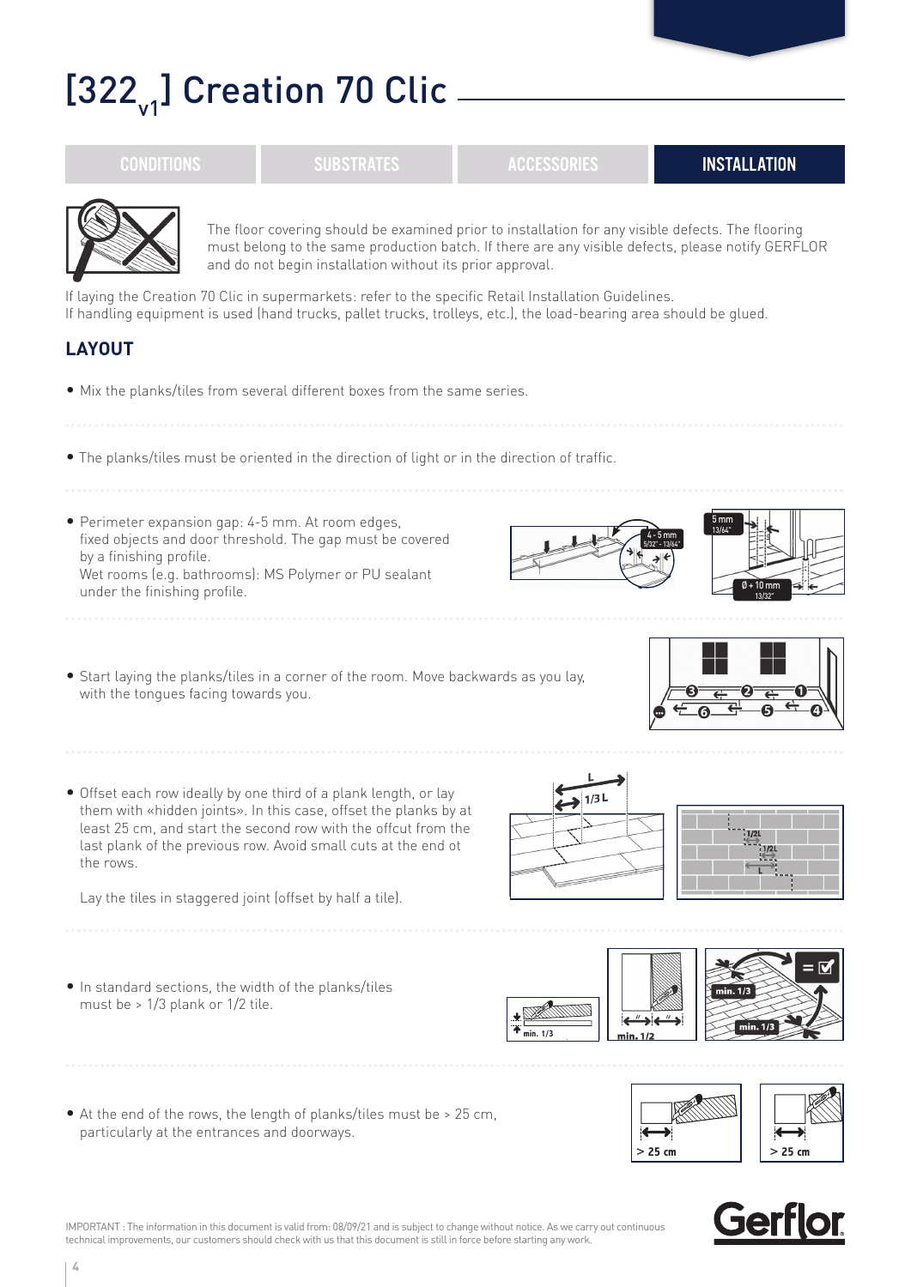## $[322]$ ] Creation 70 Clic  $-$

**4**

• Mix the planks/tiles from several different boxes from the same series.

• The planks/tiles must be oriented in the direction of light or in the direction of traffic.

and do not begin installation without its prior approval.

If handling equipment is used (hand trucks, pallet trucks, trolleys, etc.), the load-bearing area should be glued.

If laying the Creation 70 Clic in supermarkets: refer to the specific Retail Installation Guidelines.

• Perimeter expansion gap: 4-5 mm. At room edges, fixed objects and door threshold. The gap must be covered by a finishing profile. Wet rooms (e.g. bathrooms): MS Polymer or PU sealant under the finishing profile.

**LAYOUT**

- Start laying the planks/tiles in a corner of the room. Move backwards as you lay, with the tongues facing towards you.
- Offset each row ideally by one third of a plank length, or lay them with «hidden joints». In this case, offset the planks by at least 25 cm, and start the second row with the offcut from the last plank of the previous row. Avoid small cuts at the end ot the rows.

Lay the tiles in staggered joint (offset by half a tile).

- In standard sections, the width of the planks/tiles must be > 1/3 plank or 1/2 tile.
- At the end of the rows, the length of planks/tiles must be > 25 cm, particularly at the entrances and doorways.

IMPORTANT : The information in this document is valid from: 08/09/21 and is subject to change without notice. As we carry out continuous

technical improvements, our customers should check with us that this document is still in force before starting any work.







**min. 1/3**











 $1/2$ 







The floor covering should be examined prior to installation for any visible defects. The flooring must belong to the same production batch. If there are any visible defects, please notify GERFLOR

CONDITIONS SUBSTRATES ACCESSORIES INSTALLATION